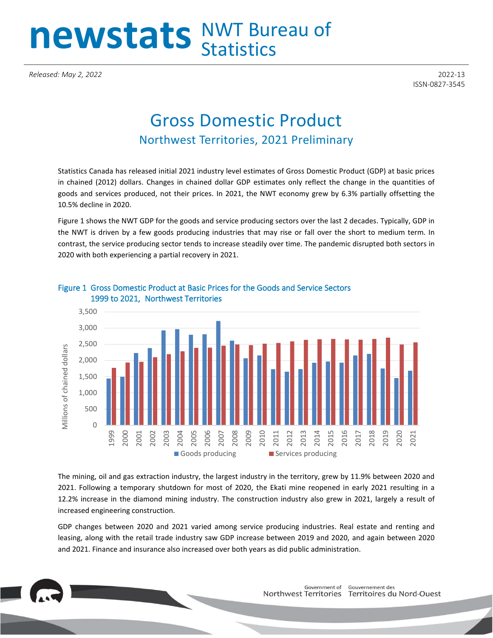# newstats NWT Bureau of

*Released: May 2, 2022* 2022-13

ISSN-0827-3545

## Gross Domestic Product Northwest Territories, 2021 Preliminary

Statistics Canada has released initial 2021 industry level estimates of Gross Domestic Product (GDP) at basic prices in chained (2012) dollars. Changes in chained dollar GDP estimates only reflect the change in the quantities of goods and services produced, not their prices. In 2021, the NWT economy grew by 6.3% partially offsetting the 10.5% decline in 2020.

Figure 1 shows the NWT GDP for the goods and service producing sectors over the last 2 decades. Typically, GDP in the NWT is driven by a few goods producing industries that may rise or fall over the short to medium term. In contrast, the service producing sector tends to increase steadily over time. The pandemic disrupted both sectors in 2020 with both experiencing a partial recovery in 2021.



### Figure 1 Gross Domestic Product at Basic Prices for the Goods and Service Sectors 1999 to 2021, Northwest Territories

The mining, oil and gas extraction industry, the largest industry in the territory, grew by 11.9% between 2020 and 2021. Following a temporary shutdown for most of 2020, the Ekati mine reopened in early 2021 resulting in a 12.2% increase in the diamond mining industry. The construction industry also grew in 2021, largely a result of increased engineering construction.

GDP changes between 2020 and 2021 varied among service producing industries. Real estate and renting and leasing, along with the retail trade industry saw GDP increase between 2019 and 2020, and again between 2020 and 2021. Finance and insurance also increased over both years as did public administration.

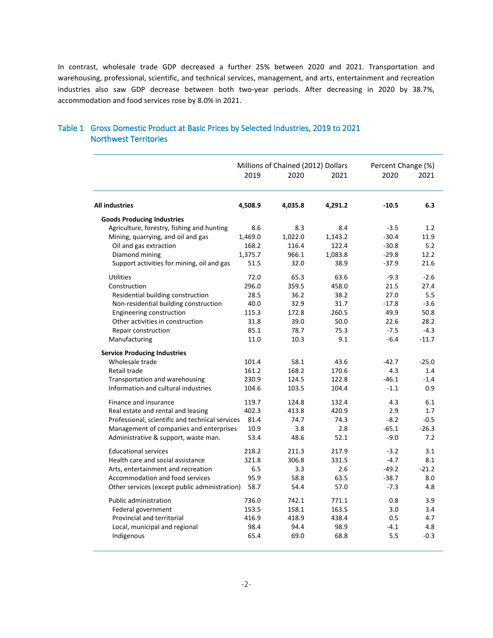In contrast, wholesale trade GDP decreased a further 25% between 2020 and 2021. Transportation and warehousing, professional, scientific, and technical services, management, and arts, entertainment and recreation industries also saw GDP decrease between both two-year periods. After decreasing in 2020 by 38.7%, accommodation and food services rose by 8.0% in 2021.

|                                                 | Millions of Chained (2012) Dollars |         | Percent Change (%) |         |         |
|-------------------------------------------------|------------------------------------|---------|--------------------|---------|---------|
|                                                 | 2019                               | 2020    | 2021               | 2020    | 2021    |
| <b>All industries</b>                           | 4,508.9                            | 4,035.8 | 4,291.2            | $-10.5$ | 6.3     |
| <b>Goods Producing Industries</b>               |                                    |         |                    |         |         |
| Agriculture, forestry, fishing and hunting      | 8.6                                | 8.3     | 8.4                | $-3.5$  | 1.2     |
| Mining, quarrying, and oil and gas              | 1,469.0                            | 1,022.0 | 1,143.2            | $-30.4$ | 11.9    |
| Oil and gas extraction                          | 168.2                              | 116.4   | 122.4              | $-30.8$ | 5.2     |
| Diamond mining                                  | 1,375.7                            | 966.1   | 1,083.8            | $-29.8$ | 12.2    |
| Support activities for mining, oil and gas      | 51.5                               | 32.0    | 38.9               | $-37.9$ | 21.6    |
| <b>Utilities</b>                                | 72.0                               | 65.3    | 63.6               | $-9.3$  | $-2.6$  |
| Construction                                    | 296.0                              | 359.5   | 458.0              | 21.5    | 27.4    |
| Residential building construction               | 28.5                               | 36.2    | 38.2               | 27.0    | 5.5     |
| Non-residential building construction           | 40.0                               | 32.9    | 31.7               | $-17.8$ | $-3.6$  |
| Engineering construction                        | 115.3                              | 172.8   | 260.5              | 49.9    | 50.8    |
| Other activities in construction                | 31.8                               | 39.0    | 50.0               | 22.6    | 28.2    |
| Repair construction                             | 85.1                               | 78.7    | 75.3               | $-7.5$  | $-4.3$  |
| Manufacturing                                   | 11.0                               | 10.3    | 9.1                | $-6.4$  | $-11.7$ |
| <b>Service Producing Industries</b>             |                                    |         |                    |         |         |
| Wholesale trade                                 | 101.4                              | 58.1    | 43.6               | $-42.7$ | $-25.0$ |
| Retail trade                                    | 161.2                              | 168.2   | 170.6              | 4.3     | 1.4     |
| Transportation and warehousing                  | 230.9                              | 124.5   | 122.8              | $-46.1$ | $-1.4$  |
| Information and cultural industries             | 104.6                              | 103.5   | 104.4              | $-1.1$  | 0.9     |
| Finance and insurance                           | 119.7                              | 124.8   | 132.4              | 4.3     | 6.1     |
| Real estate and rental and leasing              | 402.3                              | 413.8   | 420.9              | 2.9     | 1.7     |
| Professional, scientific and technical services | 81.4                               | 74.7    | 74.3               | $-8.2$  | $-0.5$  |
| Management of companies and enterprises         | 10.9                               | 3.8     | 2.8                | $-65.1$ | $-26.3$ |
| Administrative & support, waste man.            | 53.4                               | 48.6    | 52.1               | $-9.0$  | 7.2     |
| <b>Educational services</b>                     | 218.2                              | 211.3   | 217.9              | $-3.2$  | 3.1     |
| Health care and social assistance               | 321.8                              | 306.8   | 331.5              | $-4.7$  | 8.1     |
| Arts, entertainment and recreation              | 6.5                                | 3.3     | 2.6                | $-49.2$ | $-21.2$ |
| Accommodation and food services                 | 95.9                               | 58.8    | 63.5               | $-38.7$ | 8.0     |
| Other services (except public administration)   | 58.7                               | 54.4    | 57.0               | $-7.3$  | 4.8     |
| <b>Public administration</b>                    | 736.0                              | 742.1   | 771.1              | 0.8     | 3.9     |
| Federal government                              | 153.5                              | 158.1   | 163.5              | 3.0     | 3.4     |
| Provincial and territorial                      | 416.9                              | 418.9   | 438.4              | 0.5     | 4.7     |
| Local, municipal and regional                   | 98.4                               | 94.4    | 98.9               | $-4.1$  | 4.8     |
| Indigenous                                      | 65.4                               | 69.0    | 68.8               | 5.5     | $-0.3$  |
|                                                 |                                    |         |                    |         |         |

#### Table 1 Gross Domestic Product at Basic Prices by Selected Industries, 2019 to 2021 Northwest Territories